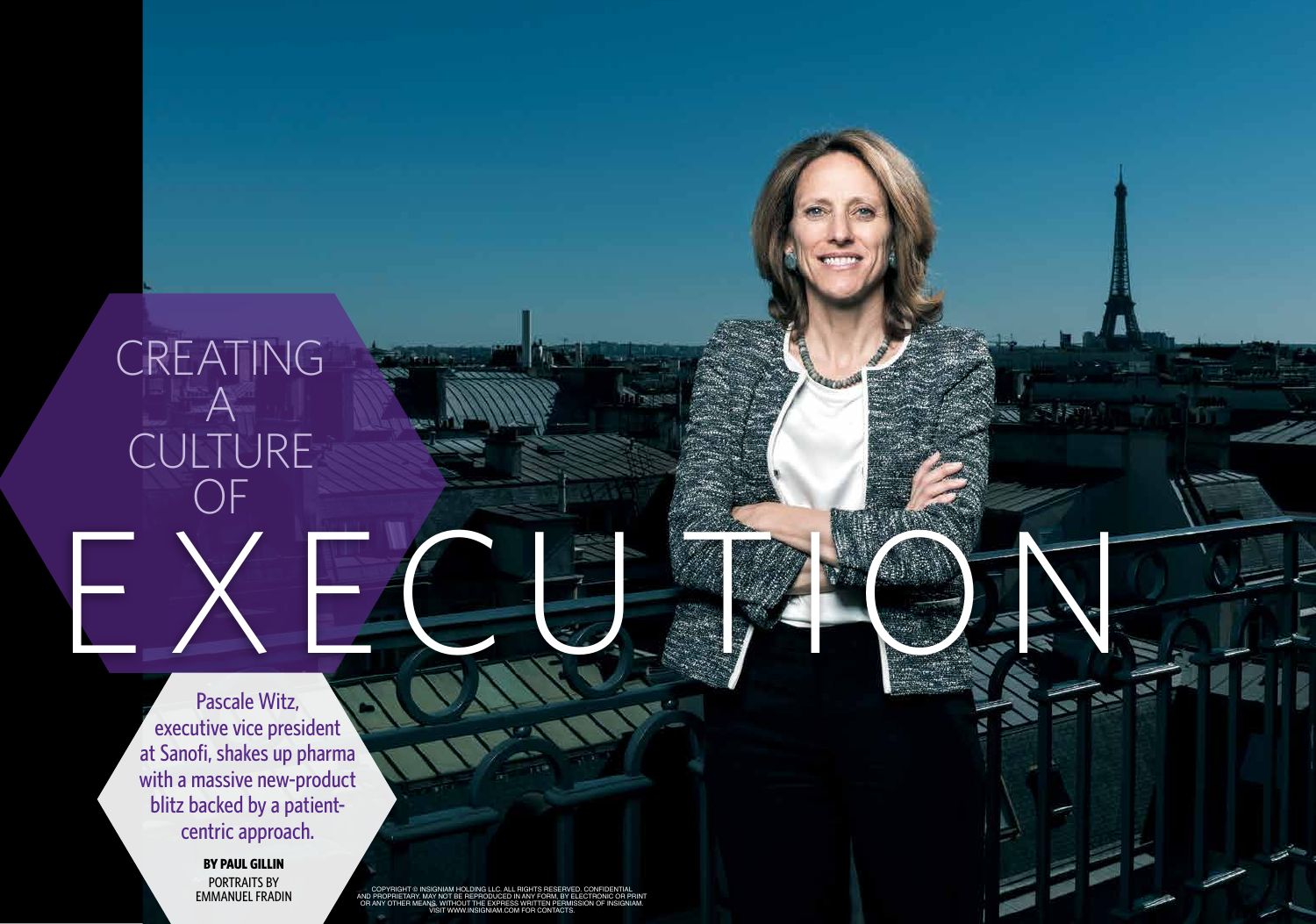# CREATING CULTURE

Pascale Witz, executive vice president at Sanofi, shakes up pharma with a massive new-product blitz backed by a patientcentric approach.

> **BY PAUL GILLIN PORTRAITS BY EMMANUEL FRADIN**

COPYRIGHT © INSIGNIAM HOLDING LLC. ALL RIGHTS RESERVED. CONFIDENTIAL<br>AND PROPRIETARY. MAY NOT BE REPRODUCED IN ANY FORM, BY ELECTRONIC OR PRINT<br>OR ANY OTHER MEANS, WITHOUT THE EXPRESS WRITTEN PERMISSION OF INSIGNIAM.<br>VISI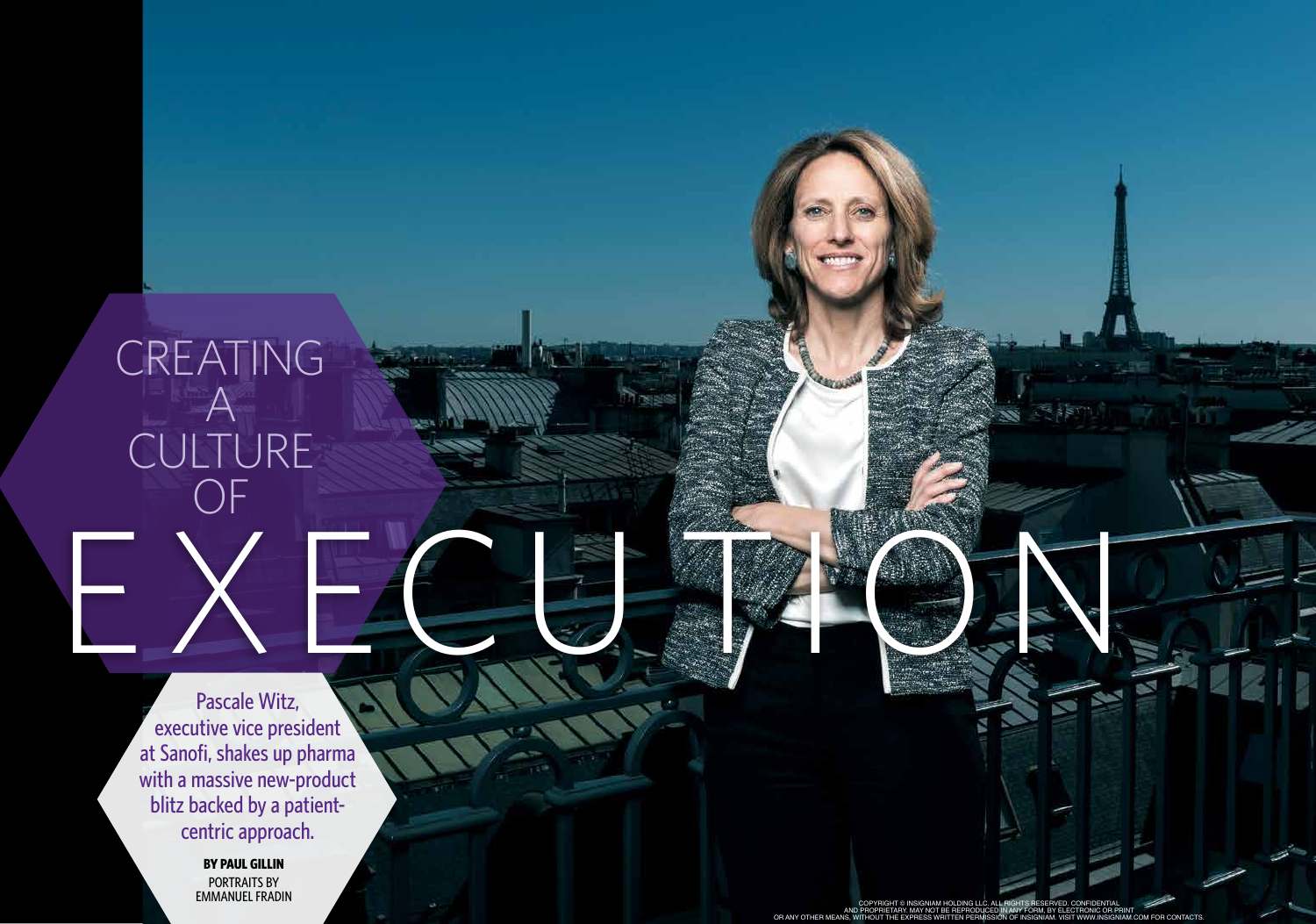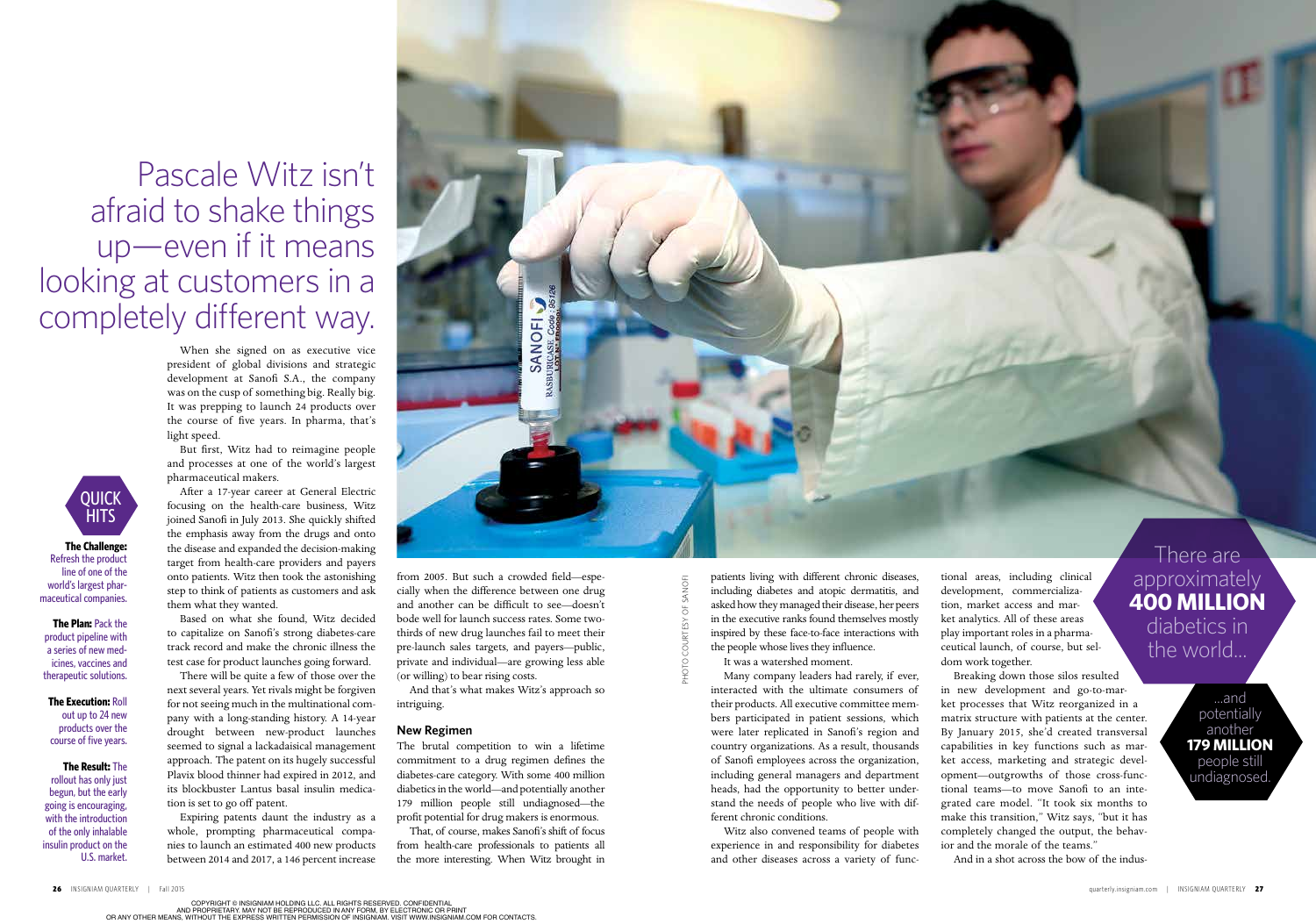# Pascale Witz isn't afraid to shake things up-even if it means looking at customers in a completely different way.

When she signed on as executive vice president of global divisions and strategic development at Sanofi S.A., the company was on the cusp of something big. Really big. It was prepping to launch 24 products over the course of five years. In pharma, that's light speed.

But first, Witz had to reimagine people and processes at one of the world's largest pharmaceutical makers.

After a 17-year career at General Electric focusing on the health-care business, Witz joined Sanofi in July 2013. She quickly shifted the emphasis away from the drugs and onto the disease and expanded the decision-making target from health-care providers and payers onto patients. Witz then took the astonishing step to think of patients as customers and ask them what they wanted.

Based on what she found, Witz decided to capitalize on Sanofi's strong diabetes-care track record and make the chronic illness the test case for product launches going forward.

There will be quite a few of those over the next several years. Yet rivals might be forgiven for not seeing much in the multinational company with a long-standing history. A 14-year drought between new-product launches seemed to signal a lackadaisical management approach. The patent on its hugely successful Plavix blood thinner had expired in 2012, and its blockbuster Lantus basal insulin medication is set to go off patent.

Expiring patents daunt the industry as a whole, prompting pharmaceutical companies to launch an estimated 400 new products between 2014 and 2017, a 146 percent increase



from 2005. But such a crowded field-especially when the difference between one drug and another can be difficult to see-doesn't bode well for launch success rates. Some twothirds of new drug launches fail to meet their pre-launch sales targets, and payers-public, private and individual-are growing less able (or willing) to bear rising costs.

And that's what makes Witz's approach so intriguing.

### **New Regimen**

The brutal competition to win a lifetime commitment to a drug regimen defines the diabetes-care category. With some 400 million diabetics in the world-and potentially another 179 million people still undiagnosed-the profit potential for drug makers is enormous.

That, of course, makes Sanofi's shift of focus from health-care professionals to patients all the more interesting. When Witz brought in



**The Challenge:** Refresh the product line of one of the world's largest pharmaceutical companies.

**The Plan: Pack the** product pipeline with a series of new medicines, vaccines and therapeutic solutions.

**The Execution: Roll** out up to 24 new products over the course of five years.

**The Result: The** rollout has only just begun, but the early going is encouraging, with the introduction of the only inhalable insulin product on the U.S. market.

COPYRIGHT © INSIGNIAM HOLDING LLC. ALL RIGHTS RESERVED. CONFIDENTIAL<br>AND PROPRIETARY. MAY NOT BE REPRODUCED IN ANY FORM, BY ELECTRONIC OR PRINT<br>OR ANY OTHER MEANS, WITHOUT THE EXPRESS WRITTEN PERMISSION OF INSIGNIAM. VISI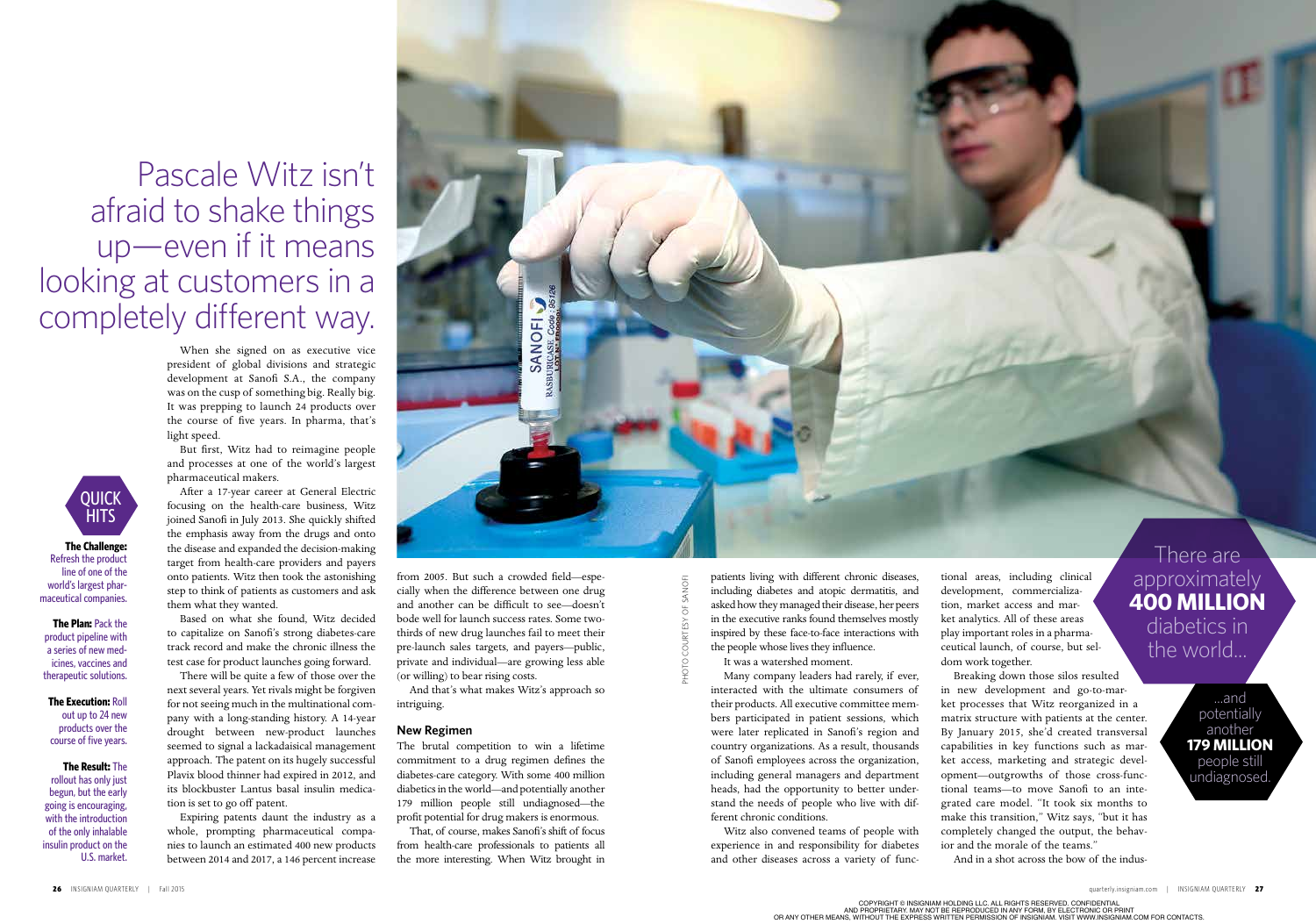patients living with different chronic diseases, including diabetes and atopic dermatitis, and asked how they managed their disease, her peers in the executive ranks found themselves mostly inspired by these face-to-face interactions with the people whose lives they influence.

It was a watershed moment.

Many company leaders had rarely, if ever, interacted with the ultimate consumers of their products. All executive committee members participated in patient sessions, which were later replicated in Sanofi's region and country organizations. As a result, thousands of Sanofi employees across the organization, including general managers and department heads, had the opportunity to better understand the needs of people who live with different chronic conditions.

Witz also convened teams of people with experience in and responsibility for diabetes and other diseases across a variety of functional areas, including clinical development, commercialization, market access and market analytics. All of these areas play important roles in a pharmaceutical launch, of course, but seldom work together.

Breaking down those silos resulted in new development and go-to-market processes that Witz reorganized in a matrix structure with patients at the center. By January 2015, she'd created transversal capabilities in key functions such as market access, marketing and strategic development-outgrowths of those cross-functional teams-to move Sanofi to an integrated care model. "It took six months to make this transition," Witz says, "but it has completely changed the output, the behavior and the morale of the teams."

And in a shot across the bow of the indus-

# There are approximately<br>**400 MILLION** diabetics in the world...

...and potentially another **179 MILLION** people still undiagnosed.

quarterly.insigniam.com | INSIGNIAM QUARTERLY 27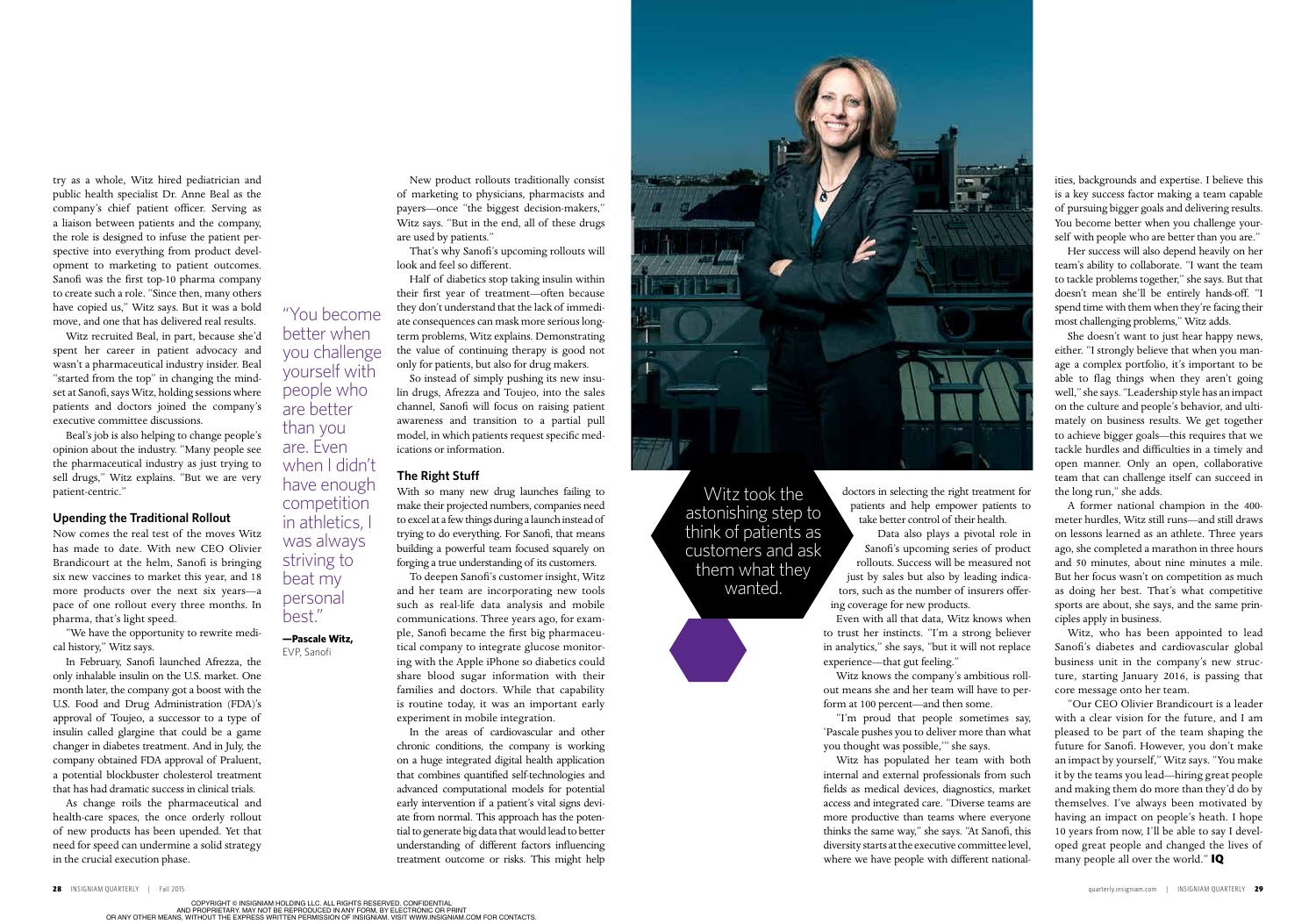try as a whole, Witz hired pediatrician and public health specialist Dr. Anne Beal as the company's chief patient officer. Serving as a liaison between patients and the company, the role is designed to infuse the patient perspective into everything from product development to marketing to patient outcomes. Sanofi was the first top-10 pharma company to create such a role. "Since then, many others have copied us," Witz says. But it was a bold move, and one that has delivered real results.

Witz recruited Beal, in part, because she'd spent her career in patient advocacy and wasn't a pharmaceutical industry insider. Beal "started from the top" in changing the mindset at Sanofi, says Witz, holding sessions where patients and doctors joined the company's executive committee discussions.

Beal's job is also helping to change people's opinion about the industry. "Many people see the pharmaceutical industry as just trying to sell drugs," Witz explains. "But we are very patient-centric."

## **Upending the Traditional Rollout**

Now comes the real test of the moves Witz has made to date. With new CEO Olivier Brandicourt at the helm, Sanofi is bringing six new vaccines to market this year, and 18 more products over the next six years-a pace of one rollout every three months. In pharma, that's light speed.

"We have the opportunity to rewrite medical history," Witz says.

In February, Sanofi launched Afrezza, the only inhalable insulin on the U.S. market. One month later, the company got a boost with the U.S. Food and Drug Administration (FDA)'s approval of Toujeo, a successor to a type of insulin called glargine that could be a game changer in diabetes treatment. And in July, the company obtained FDA approval of Praluent, a potential blockbuster cholesterol treatment that has had dramatic success in clinical trials.

As change roils the pharmaceutical and health-care spaces, the once orderly rollout of new products has been upended. Yet that need for speed can undermine a solid strategy in the crucial execution phase.

"You become better when you challenge yourself with people who are better than you are. Even when I didn't have enough competition in athletics, I was always striving to beat my personal best"

-Pascale Witz, EVP, Sanofi

New product rollouts traditionally consist of marketing to physicians, pharmacists and payers—once "the biggest decision-makers," Witz says. "But in the end, all of these drugs are used by patients."

That's why Sanofi's upcoming rollouts will look and feel so different.

Half of diabetics stop taking insulin within their first year of treatment-often because they don't understand that the lack of immediate consequences can mask more serious longterm problems, Witz explains. Demonstrating the value of continuing therapy is good not only for patients, but also for drug makers.

So instead of simply pushing its new insulin drugs, Afrezza and Toujeo, into the sales channel, Sanofi will focus on raising patient awareness and transition to a partial pull model, in which patients request specific medications or information.

# The Right Stuff

With so many new drug launches failing to make their projected numbers, companies need to excel at a few things during a launch instead of trying to do everything. For Sanofi, that means building a powerful team focused squarely on forging a true understanding of its customers.

To deepen Sanofi's customer insight, Witz and her team are incorporating new tools such as real-life data analysis and mobile communications. Three years ago, for example, Sanofi became the first big pharmaceutical company to integrate glucose monitoring with the Apple iPhone so diabetics could share blood sugar information with their families and doctors. While that capability is routine today, it was an important early experiment in mobile integration.

In the areas of cardiovascular and other chronic conditions, the company is working on a huge integrated digital health application that combines quantified self-technologies and advanced computational models for potential early intervention if a patient's vital signs deviate from normal. This approach has the potential to generate big data that would lead to better understanding of different factors influencing treatment outcome or risks. This might help